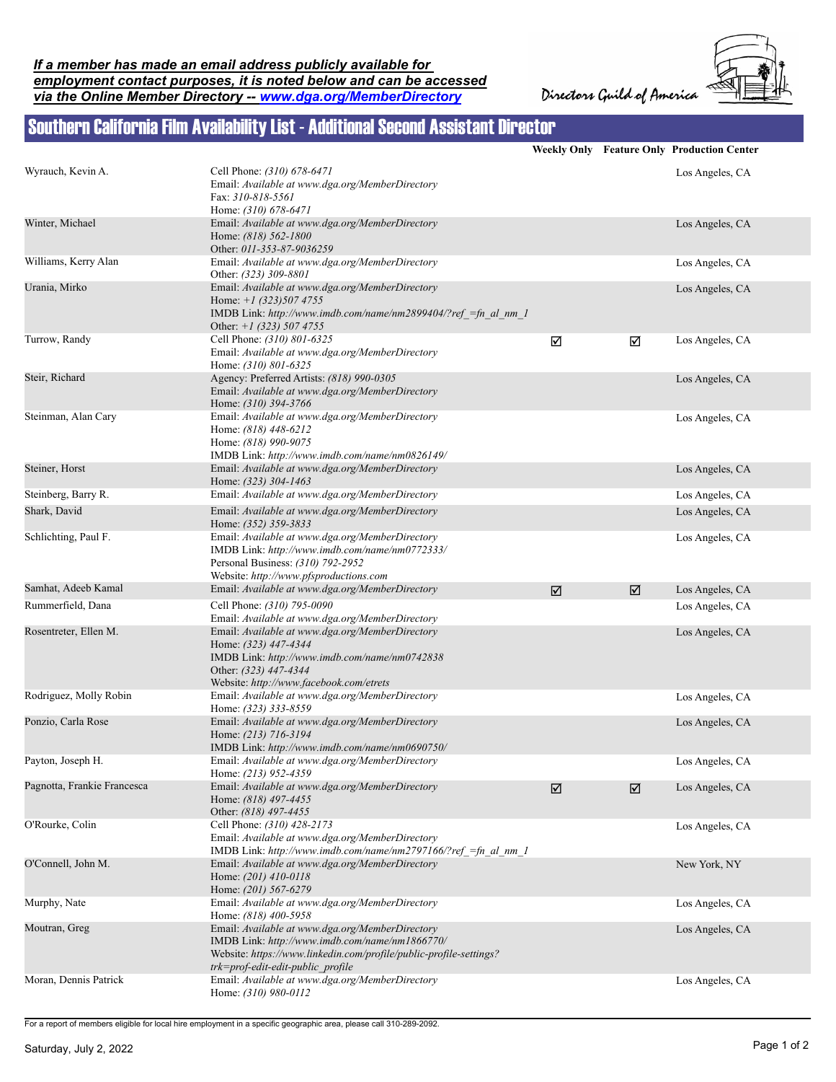Directors Guild of America



## Southern California Film Availability List - Additional Second Assistant Director

|                             |                                                                                                                                                                                                              |   |   | Weekly Only Feature Only Production Center |
|-----------------------------|--------------------------------------------------------------------------------------------------------------------------------------------------------------------------------------------------------------|---|---|--------------------------------------------|
| Wyrauch, Kevin A.           | Cell Phone: (310) 678-6471<br>Email: Available at www.dga.org/MemberDirectory<br>Fax: 310-818-5561<br>Home: (310) 678-6471                                                                                   |   |   | Los Angeles, CA                            |
| Winter, Michael             | Email: Available at www.dga.org/MemberDirectory<br>Home: (818) 562-1800<br>Other: 011-353-87-9036259                                                                                                         |   |   | Los Angeles, CA                            |
| Williams, Kerry Alan        | Email: Available at www.dga.org/MemberDirectory<br>Other: (323) 309-8801                                                                                                                                     |   |   | Los Angeles, CA                            |
| Urania, Mirko               | Email: Available at www.dga.org/MemberDirectory<br>Home: $+1$ (323) 507 4755<br>IMDB Link: http://www.imdb.com/name/nm2899404/?ref =fn al nm 1<br>Other: $+1$ (323) 507 4755                                 |   |   | Los Angeles, CA                            |
| Turrow, Randy               | Cell Phone: (310) 801-6325<br>Email: Available at www.dga.org/MemberDirectory<br>Home: (310) 801-6325                                                                                                        | ☑ | ☑ | Los Angeles, CA                            |
| Steir, Richard              | Agency: Preferred Artists: (818) 990-0305<br>Email: Available at www.dga.org/MemberDirectory<br>Home: (310) 394-3766                                                                                         |   |   | Los Angeles, CA                            |
| Steinman, Alan Cary         | Email: Available at www.dga.org/MemberDirectory<br>Home: (818) 448-6212<br>Home: (818) 990-9075<br>IMDB Link: http://www.imdb.com/name/nm0826149/                                                            |   |   | Los Angeles, CA                            |
| Steiner, Horst              | Email: Available at www.dga.org/MemberDirectory<br>Home: (323) 304-1463                                                                                                                                      |   |   | Los Angeles, CA                            |
| Steinberg, Barry R.         | Email: Available at www.dga.org/MemberDirectory                                                                                                                                                              |   |   | Los Angeles, CA                            |
| Shark, David                | Email: Available at www.dga.org/MemberDirectory<br>Home: (352) 359-3833                                                                                                                                      |   |   | Los Angeles, CA                            |
| Schlichting, Paul F.        | Email: Available at www.dga.org/MemberDirectory<br>IMDB Link: http://www.imdb.com/name/nm0772333/<br>Personal Business: (310) 792-2952<br>Website: http://www.pfsproductions.com                             |   |   | Los Angeles, CA                            |
| Samhat, Adeeb Kamal         | Email: Available at www.dga.org/MemberDirectory                                                                                                                                                              | ☑ | ☑ | Los Angeles, CA                            |
| Rummerfield, Dana           | Cell Phone: (310) 795-0090<br>Email: Available at www.dga.org/MemberDirectory                                                                                                                                |   |   | Los Angeles, CA                            |
| Rosentreter, Ellen M.       | Email: Available at www.dga.org/MemberDirectory<br>Home: (323) 447-4344<br>IMDB Link: http://www.imdb.com/name/nm0742838<br>Other: (323) 447-4344<br>Website: http://www.facebook.com/etrets                 |   |   | Los Angeles, CA                            |
| Rodriguez, Molly Robin      | Email: Available at www.dga.org/MemberDirectory<br>Home: (323) 333-8559                                                                                                                                      |   |   | Los Angeles, CA                            |
| Ponzio, Carla Rose          | Email: Available at www.dga.org/MemberDirectory<br>Home: (213) 716-3194<br>IMDB Link: http://www.imdb.com/name/nm0690750/                                                                                    |   |   | Los Angeles, CA                            |
| Payton, Joseph H.           | Email: Available at www.dga.org/MemberDirectory<br>Home: (213) 952-4359                                                                                                                                      |   |   | Los Angeles, CA                            |
| Pagnotta, Frankie Francesca | Email: Available at www.dga.org/MemberDirectory<br>Home: (818) 497-4455<br>Other: (818) 497-4455                                                                                                             | ☑ | ☑ | Los Angeles, CA                            |
| O'Rourke, Colin             | Cell Phone: (310) 428-2173<br>Email: Available at www.dga.org/MemberDirectory<br>IMDB Link: http://www.imdb.com/name/nm2797166/?ref =fn al nm 1                                                              |   |   | Los Angeles, CA                            |
| O'Connell, John M.          | Email: Available at www.dga.org/MemberDirectory<br>Home: (201) 410-0118<br>Home: (201) 567-6279                                                                                                              |   |   | New York, NY                               |
| Murphy, Nate                | Email: Available at www.dga.org/MemberDirectory<br>Home: (818) 400-5958                                                                                                                                      |   |   | Los Angeles, CA                            |
| Moutran, Greg               | Email: Available at www.dga.org/MemberDirectory<br>IMDB Link: http://www.imdb.com/name/nm1866770/<br>Website: https://www.linkedin.com/profile/public-profile-settings?<br>trk=prof-edit-edit-public profile |   |   | Los Angeles, CA                            |
| Moran, Dennis Patrick       | Email: Available at www.dga.org/MemberDirectory<br>Home: (310) 980-0112                                                                                                                                      |   |   | Los Angeles, CA                            |

For a report of members eligible for local hire employment in a specific geographic area, please call 310-289-2092.